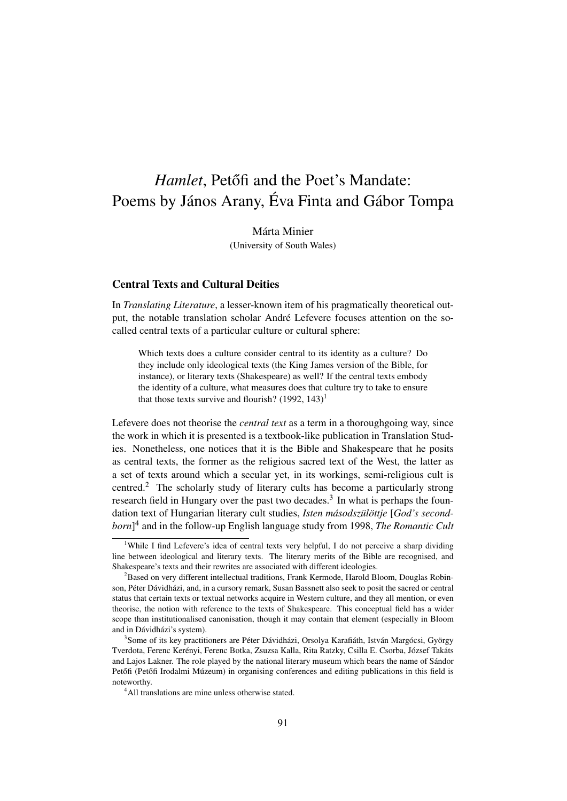# *Hamlet*, Petőfi and the Poet's Mandate: Poems by János Arany, Éva Finta and Gábor Tompa

Márta Minier (University of South Wales)

## Central Texts and Cultural Deities

In *Translating Literature*, a lesser-known item of his pragmatically theoretical output, the notable translation scholar André Lefevere focuses attention on the socalled central texts of a particular culture or cultural sphere:

Which texts does a culture consider central to its identity as a culture? Do they include only ideological texts (the King James version of the Bible, for instance), or literary texts (Shakespeare) as well? If the central texts embody the identity of a culture, what measures does that culture try to take to ensure that those texts survive and flourish?  $(1992, 143)^1$ 

Lefevere does not theorise the *central text* as a term in a thoroughgoing way, since the work in which it is presented is a textbook-like publication in Translation Studies. Nonetheless, one notices that it is the Bible and Shakespeare that he posits as central texts, the former as the religious sacred text of the West, the latter as a set of texts around which a secular yet, in its workings, semi-religious cult is centred.<sup>2</sup> The scholarly study of literary cults has become a particularly strong research field in Hungary over the past two decades.<sup>3</sup> In what is perhaps the foundation text of Hungarian literary cult studies, *Isten másodszülöttje* [*God's secondborn*] 4 and in the follow-up English language study from 1998, *The Romantic Cult*

<sup>&</sup>lt;sup>1</sup>While I find Lefevere's idea of central texts very helpful, I do not perceive a sharp dividing line between ideological and literary texts. The literary merits of the Bible are recognised, and Shakespeare's texts and their rewrites are associated with different ideologies.

 ${}^{2}$ Based on very different intellectual traditions, Frank Kermode, Harold Bloom, Douglas Robinson, Péter Dávidházi, and, in a cursory remark, Susan Bassnett also seek to posit the sacred or central status that certain texts or textual networks acquire in Western culture, and they all mention, or even theorise, the notion with reference to the texts of Shakespeare. This conceptual field has a wider scope than institutionalised canonisation, though it may contain that element (especially in Bloom and in Dávidházi's system).

<sup>3</sup> Some of its key practitioners are Péter Dávidházi, Orsolya Karafiáth, István Margócsi, György Tverdota, Ferenc Kerényi, Ferenc Botka, Zsuzsa Kalla, Rita Ratzky, Csilla E. Csorba, József Takáts and Lajos Lakner. The role played by the national literary museum which bears the name of Sándor Petőfi (Petőfi Irodalmi Múzeum) in organising conferences and editing publications in this field is noteworthy.

<sup>&</sup>lt;sup>4</sup>All translations are mine unless otherwise stated.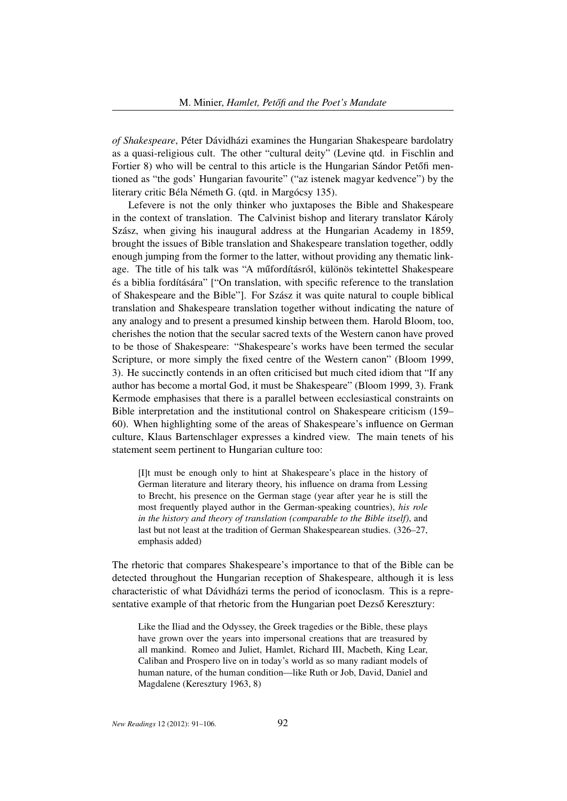*of Shakespeare*, Péter Dávidházi examines the Hungarian Shakespeare bardolatry as a quasi-religious cult. The other "cultural deity" (Levine qtd. in Fischlin and Fortier 8) who will be central to this article is the Hungarian Sándor Petőfi mentioned as "the gods' Hungarian favourite" ("az istenek magyar kedvence") by the literary critic Béla Németh G. (qtd. in Margócsy 135).

Lefevere is not the only thinker who juxtaposes the Bible and Shakespeare in the context of translation. The Calvinist bishop and literary translator Károly Szász, when giving his inaugural address at the Hungarian Academy in 1859, brought the issues of Bible translation and Shakespeare translation together, oddly enough jumping from the former to the latter, without providing any thematic linkage. The title of his talk was "A műfordításról, különös tekintettel Shakespeare és a biblia fordítására" ["On translation, with specific reference to the translation of Shakespeare and the Bible"]. For Szász it was quite natural to couple biblical translation and Shakespeare translation together without indicating the nature of any analogy and to present a presumed kinship between them. Harold Bloom, too, cherishes the notion that the secular sacred texts of the Western canon have proved to be those of Shakespeare: "Shakespeare's works have been termed the secular Scripture, or more simply the fixed centre of the Western canon" (Bloom 1999, 3). He succinctly contends in an often criticised but much cited idiom that "If any author has become a mortal God, it must be Shakespeare" (Bloom 1999, 3). Frank Kermode emphasises that there is a parallel between ecclesiastical constraints on Bible interpretation and the institutional control on Shakespeare criticism (159– 60). When highlighting some of the areas of Shakespeare's influence on German culture, Klaus Bartenschlager expresses a kindred view. The main tenets of his statement seem pertinent to Hungarian culture too:

[I]t must be enough only to hint at Shakespeare's place in the history of German literature and literary theory, his influence on drama from Lessing to Brecht, his presence on the German stage (year after year he is still the most frequently played author in the German-speaking countries), *his role in the history and theory of translation (comparable to the Bible itself)*, and last but not least at the tradition of German Shakespearean studies. (326–27, emphasis added)

The rhetoric that compares Shakespeare's importance to that of the Bible can be detected throughout the Hungarian reception of Shakespeare, although it is less characteristic of what Dávidházi terms the period of iconoclasm. This is a representative example of that rhetoric from the Hungarian poet Dezső Keresztury:

Like the Iliad and the Odyssey, the Greek tragedies or the Bible, these plays have grown over the years into impersonal creations that are treasured by all mankind. Romeo and Juliet, Hamlet, Richard III, Macbeth, King Lear, Caliban and Prospero live on in today's world as so many radiant models of human nature, of the human condition—like Ruth or Job, David, Daniel and Magdalene (Keresztury 1963, 8)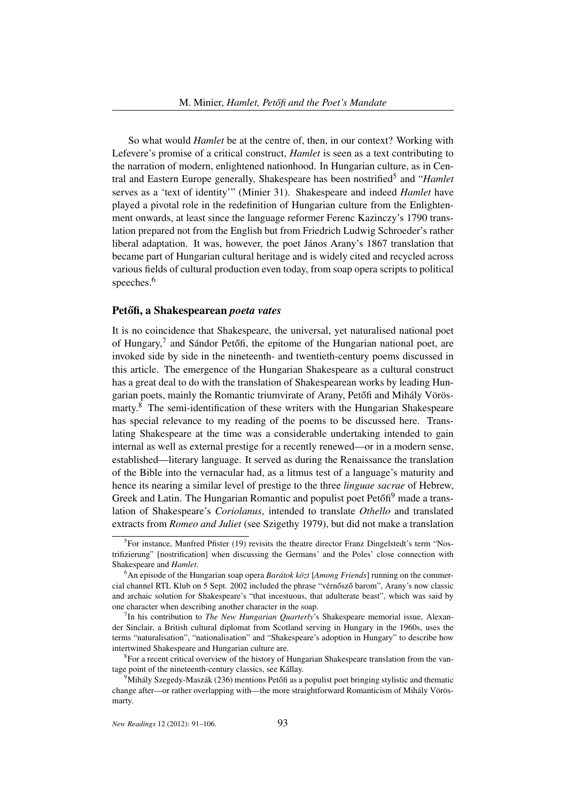So what would *Hamlet* be at the centre of, then, in our context? Working with Lefevere's promise of a critical construct, *Hamlet* is seen as a text contributing to the narration of modern, enlightened nationhood. In Hungarian culture, as in Central and Eastern Europe generally, Shakespeare has been nostrified<sup>5</sup> and "*Hamlet* serves as a 'text of identity'" (Minier 31). Shakespeare and indeed *Hamlet* have played a pivotal role in the redefinition of Hungarian culture from the Enlightenment onwards, at least since the language reformer Ferenc Kazinczy's 1790 translation prepared not from the English but from Friedrich Ludwig Schroeder's rather liberal adaptation. It was, however, the poet János Arany's 1867 translation that became part of Hungarian cultural heritage and is widely cited and recycled across various fields of cultural production even today, from soap opera scripts to political speeches.<sup>6</sup>

## Petőfi, a Shakespearean *poeta vates*

It is no coincidence that Shakespeare, the universal, yet naturalised national poet of Hungary, $^7$  and Sándor Petőfi, the epitome of the Hungarian national poet, are invoked side by side in the nineteenth- and twentieth-century poems discussed in this article. The emergence of the Hungarian Shakespeare as a cultural construct has a great deal to do with the translation of Shakespearean works by leading Hungarian poets, mainly the Romantic triumvirate of Arany, Petőfi and Mihály Vörösmarty.<sup>8</sup> The semi-identification of these writers with the Hungarian Shakespeare has special relevance to my reading of the poems to be discussed here. Translating Shakespeare at the time was a considerable undertaking intended to gain internal as well as external prestige for a recently renewed—or in a modern sense, established—literary language. It served as during the Renaissance the translation of the Bible into the vernacular had, as a litmus test of a language's maturity and hence its nearing a similar level of prestige to the three *linguae sacrae* of Hebrew, Greek and Latin. The Hungarian Romantic and populist poet Petőfi<sup>9</sup> made a translation of Shakespeare's *Coriolanus*, intended to translate *Othello* and translated extracts from *Romeo and Juliet* (see Szigethy 1979), but did not make a translation

<sup>&</sup>lt;sup>5</sup>For instance, Manfred Pfister (19) revisits the theatre director Franz Dingelstedt's term "Nostrifizierung" [nostrification] when discussing the Germans' and the Poles' close connection with Shakespeare and *Hamlet*.

<sup>6</sup>An episode of the Hungarian soap opera *Barátok közt* [*Among Friends*] running on the commercial channel RTL Klub on 5 Sept. 2002 included the phrase "vérnősző barom", Arany's now classic and archaic solution for Shakespeare's "that incestuous, that adulterate beast", which was said by one character when describing another character in the soap.

<sup>7</sup> In his contribution to *The New Hungarian Quarterly*'s Shakespeare memorial issue, Alexander Sinclair, a British cultural diplomat from Scotland serving in Hungary in the 1960s, uses the terms "naturalisation", "nationalisation" and "Shakespeare's adoption in Hungary" to describe how intertwined Shakespeare and Hungarian culture are.

<sup>&</sup>lt;sup>8</sup> For a recent critical overview of the history of Hungarian Shakespeare translation from the vantage point of the nineteenth-century classics, see Kállay.

 $9$ Mihály Szegedy-Maszák (236) mentions Petőfi as a populist poet bringing stylistic and thematic change after—or rather overlapping with—the more straightforward Romanticism of Mihály Vörösmarty.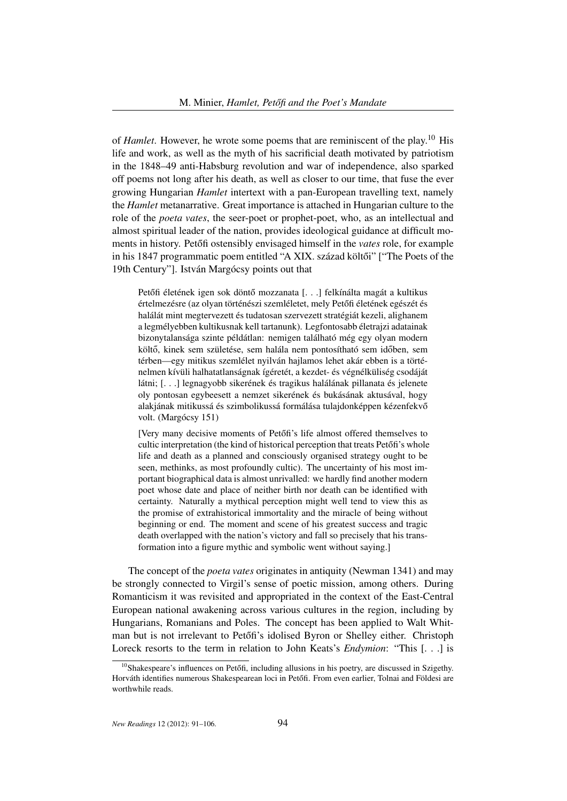of *Hamlet*. However, he wrote some poems that are reminiscent of the play.<sup>10</sup> His life and work, as well as the myth of his sacrificial death motivated by patriotism in the 1848–49 anti-Habsburg revolution and war of independence, also sparked off poems not long after his death, as well as closer to our time, that fuse the ever growing Hungarian *Hamlet* intertext with a pan-European travelling text, namely the *Hamlet* metanarrative. Great importance is attached in Hungarian culture to the role of the *poeta vates*, the seer-poet or prophet-poet, who, as an intellectual and almost spiritual leader of the nation, provides ideological guidance at difficult moments in history. Petőfi ostensibly envisaged himself in the *vates* role, for example in his 1847 programmatic poem entitled "A XIX. század költői" ["The Poets of the 19th Century"]. István Margócsy points out that

Petőfi életének igen sok döntő mozzanata [...] felkínálta magát a kultikus értelmezésre (az olyan történészi szemléletet, mely Petőfi életének egészét és halálát mint megtervezett és tudatosan szervezett stratégiát kezeli, alighanem a legmélyebben kultikusnak kell tartanunk). Legfontosabb életrajzi adatainak bizonytalansága szinte példátlan: nemigen található még egy olyan modern költő, kinek sem születése, sem halála nem pontosítható sem időben, sem térben—egy mitikus szemlélet nyilván hajlamos lehet akár ebben is a történelmen kívüli halhatatlanságnak ígéretét, a kezdet- és végnélküliség csodáját látni; [. . .] legnagyobb sikerének és tragikus halálának pillanata és jelenete oly pontosan egybeesett a nemzet sikerének és bukásának aktusával, hogy alakjának mitikussá és szimbolikussá formálása tulajdonképpen kézenfekvő volt. (Margócsy 151)

[Very many decisive moments of Petőfi's life almost offered themselves to cultic interpretation (the kind of historical perception that treats Petőfi's whole life and death as a planned and consciously organised strategy ought to be seen, methinks, as most profoundly cultic). The uncertainty of his most important biographical data is almost unrivalled: we hardly find another modern poet whose date and place of neither birth nor death can be identified with certainty. Naturally a mythical perception might well tend to view this as the promise of extrahistorical immortality and the miracle of being without beginning or end. The moment and scene of his greatest success and tragic death overlapped with the nation's victory and fall so precisely that his transformation into a figure mythic and symbolic went without saying.]

The concept of the *poeta vates* originates in antiquity (Newman 1341) and may be strongly connected to Virgil's sense of poetic mission, among others. During Romanticism it was revisited and appropriated in the context of the East-Central European national awakening across various cultures in the region, including by Hungarians, Romanians and Poles. The concept has been applied to Walt Whitman but is not irrelevant to Petőfi's idolised Byron or Shelley either. Christoph Loreck resorts to the term in relation to John Keats's *Endymion*: "This [. . .] is

 $10$ Shakespeare's influences on Petőfi, including allusions in his poetry, are discussed in Szigethy. Horváth identifies numerous Shakespearean loci in Petőfi. From even earlier, Tolnai and Földesi are worthwhile reads.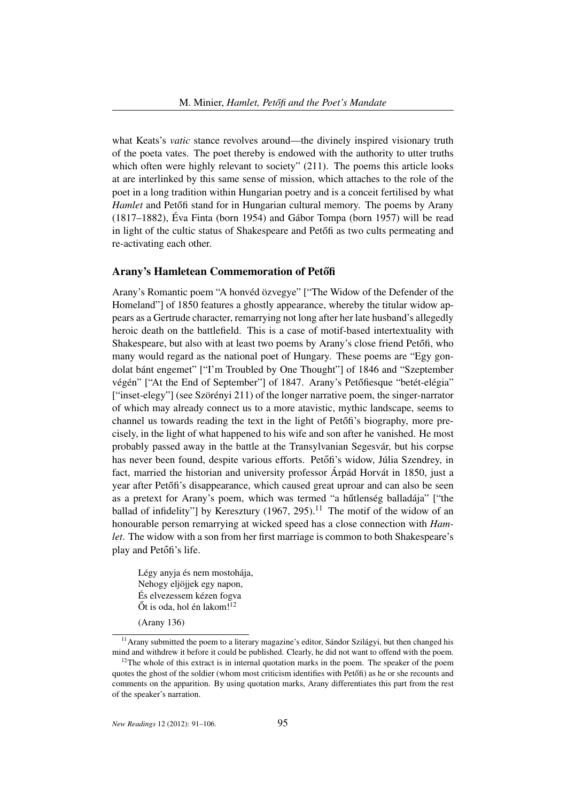what Keats's *vatic* stance revolves around—the divinely inspired visionary truth of the poeta vates. The poet thereby is endowed with the authority to utter truths which often were highly relevant to society" (211). The poems this article looks at are interlinked by this same sense of mission, which attaches to the role of the poet in a long tradition within Hungarian poetry and is a conceit fertilised by what *Hamlet* and Petőfi stand for in Hungarian cultural memory. The poems by Arany (1817–1882), Éva Finta (born 1954) and Gábor Tompa (born 1957) will be read in light of the cultic status of Shakespeare and Petofi as two cults permeating and re-activating each other.

## Arany's Hamletean Commemoration of Petőfi

Arany's Romantic poem "A honvéd özvegye" ["The Widow of the Defender of the Homeland"] of 1850 features a ghostly appearance, whereby the titular widow appears as a Gertrude character, remarrying not long after her late husband's allegedly heroic death on the battlefield. This is a case of motif-based intertextuality with Shakespeare, but also with at least two poems by Arany's close friend Petőfi, who many would regard as the national poet of Hungary. These poems are "Egy gondolat bánt engemet" ["I'm Troubled by One Thought"] of 1846 and "Szeptember végén" ["At the End of September"] of 1847. Arany's Petőfiesque "betét-elégia" ["inset-elegy"] (see Szörényi 211) of the longer narrative poem, the singer-narrator of which may already connect us to a more atavistic, mythic landscape, seems to channel us towards reading the text in the light of Petőfi's biography, more precisely, in the light of what happened to his wife and son after he vanished. He most probably passed away in the battle at the Transylvanian Segesvár, but his corpse has never been found, despite various efforts. Petőfi's widow, Júlia Szendrey, in fact, married the historian and university professor Árpád Horvát in 1850, just a year after Petőfi's disappearance, which caused great uproar and can also be seen as a pretext for Arany's poem, which was termed "a hűtlenség balladája" ["the ballad of infidelity"] by Keresztury (1967, 295).<sup>11</sup> The motif of the widow of an honourable person remarrying at wicked speed has a close connection with *Hamlet*. The widow with a son from her first marriage is common to both Shakespeare's play and Petőfi's life.

Légy anyja és nem mostohája, Nehogy eljöjjek egy napon, És elvezessem kézen fogva  $\tilde{O}t$  is oda, hol én lakom!<sup>12</sup>

(Arany 136)

*New Readings* 12 (2012): 91–106. 95

<sup>&</sup>lt;sup>11</sup> Arany submitted the poem to a literary magazine's editor, Sándor Szilágyi, but then changed his mind and withdrew it before it could be published. Clearly, he did not want to offend with the poem.

 $12$ The whole of this extract is in internal quotation marks in the poem. The speaker of the poem quotes the ghost of the soldier (whom most criticism identifies with Petőfi) as he or she recounts and comments on the apparition. By using quotation marks, Arany differentiates this part from the rest of the speaker's narration.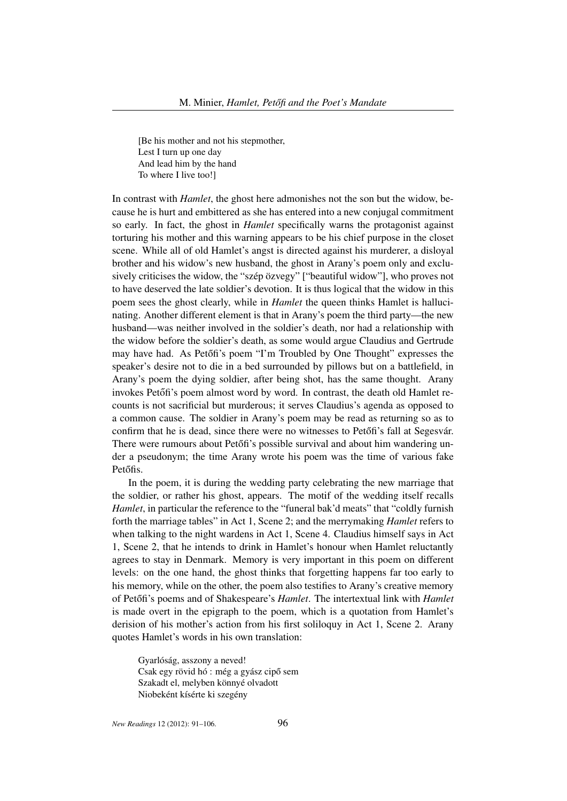[Be his mother and not his stepmother, Lest I turn up one day And lead him by the hand To where I live too!]

In contrast with *Hamlet*, the ghost here admonishes not the son but the widow, because he is hurt and embittered as she has entered into a new conjugal commitment so early. In fact, the ghost in *Hamlet* specifically warns the protagonist against torturing his mother and this warning appears to be his chief purpose in the closet scene. While all of old Hamlet's angst is directed against his murderer, a disloyal brother and his widow's new husband, the ghost in Arany's poem only and exclusively criticises the widow, the "szép özvegy" ["beautiful widow"], who proves not to have deserved the late soldier's devotion. It is thus logical that the widow in this poem sees the ghost clearly, while in *Hamlet* the queen thinks Hamlet is hallucinating. Another different element is that in Arany's poem the third party—the new husband—was neither involved in the soldier's death, nor had a relationship with the widow before the soldier's death, as some would argue Claudius and Gertrude may have had. As Petőfi's poem "I'm Troubled by One Thought" expresses the speaker's desire not to die in a bed surrounded by pillows but on a battlefield, in Arany's poem the dying soldier, after being shot, has the same thought. Arany invokes Petőfi's poem almost word by word. In contrast, the death old Hamlet recounts is not sacrificial but murderous; it serves Claudius's agenda as opposed to a common cause. The soldier in Arany's poem may be read as returning so as to confirm that he is dead, since there were no witnesses to Petőfi's fall at Segesvár. There were rumours about Petőfi's possible survival and about him wandering under a pseudonym; the time Arany wrote his poem was the time of various fake Petőfis.

In the poem, it is during the wedding party celebrating the new marriage that the soldier, or rather his ghost, appears. The motif of the wedding itself recalls *Hamlet*, in particular the reference to the "funeral bak'd meats" that "coldly furnish forth the marriage tables" in Act 1, Scene 2; and the merrymaking *Hamlet* refers to when talking to the night wardens in Act 1, Scene 4. Claudius himself says in Act 1, Scene 2, that he intends to drink in Hamlet's honour when Hamlet reluctantly agrees to stay in Denmark. Memory is very important in this poem on different levels: on the one hand, the ghost thinks that forgetting happens far too early to his memory, while on the other, the poem also testifies to Arany's creative memory of Petőfi's poems and of Shakespeare's *Hamlet*. The intertextual link with *Hamlet* is made overt in the epigraph to the poem, which is a quotation from Hamlet's derision of his mother's action from his first soliloquy in Act 1, Scene 2. Arany quotes Hamlet's words in his own translation:

Gyarlóság, asszony a neved! Csak egy rövid hó : még a gyász cipő sem Szakadt el, melyben könnyé olvadott Niobeként kísérte ki szegény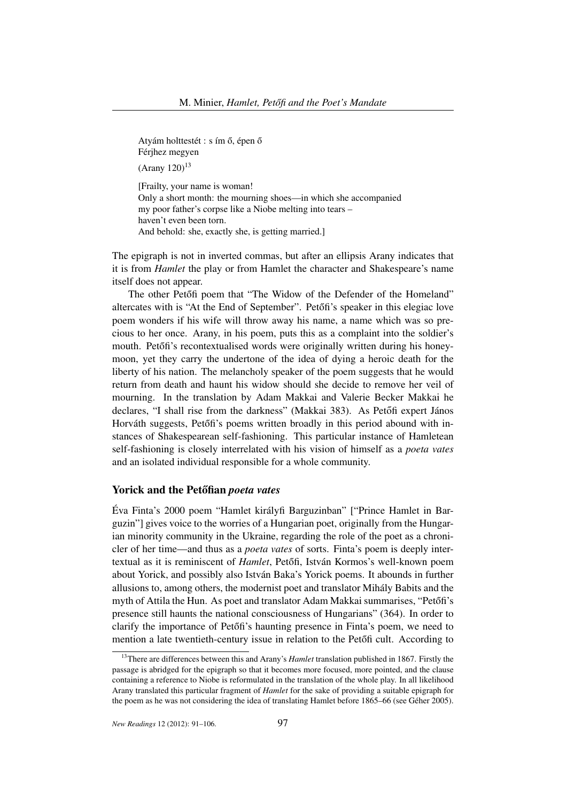Atyám holttestét : s ím ő, épen ő Férjhez megyen  $(Ar$ any 120)<sup>13</sup>

[Frailty, your name is woman! Only a short month: the mourning shoes—in which she accompanied my poor father's corpse like a Niobe melting into tears – haven't even been torn. And behold: she, exactly she, is getting married.]

The epigraph is not in inverted commas, but after an ellipsis Arany indicates that it is from *Hamlet* the play or from Hamlet the character and Shakespeare's name itself does not appear.

The other Petőfi poem that "The Widow of the Defender of the Homeland" altercates with is "At the End of September". Petőfi's speaker in this elegiac love poem wonders if his wife will throw away his name, a name which was so precious to her once. Arany, in his poem, puts this as a complaint into the soldier's mouth. Petőfi's recontextualised words were originally written during his honeymoon, yet they carry the undertone of the idea of dying a heroic death for the liberty of his nation. The melancholy speaker of the poem suggests that he would return from death and haunt his widow should she decide to remove her veil of mourning. In the translation by Adam Makkai and Valerie Becker Makkai he declares, "I shall rise from the darkness" (Makkai 383). As Petőfi expert János Horváth suggests, Petőfi's poems written broadly in this period abound with instances of Shakespearean self-fashioning. This particular instance of Hamletean self-fashioning is closely interrelated with his vision of himself as a *poeta vates* and an isolated individual responsible for a whole community.

### Yorick and the Petőfian *poeta vates*

Éva Finta's 2000 poem "Hamlet királyfi Barguzinban" ["Prince Hamlet in Barguzin"] gives voice to the worries of a Hungarian poet, originally from the Hungarian minority community in the Ukraine, regarding the role of the poet as a chronicler of her time—and thus as a *poeta vates* of sorts. Finta's poem is deeply intertextual as it is reminiscent of *Hamlet*, Petőfi, István Kormos's well-known poem about Yorick, and possibly also István Baka's Yorick poems. It abounds in further allusions to, among others, the modernist poet and translator Mihály Babits and the myth of Attila the Hun. As poet and translator Adam Makkai summarises, "Petőfi's presence still haunts the national consciousness of Hungarians" (364). In order to clarify the importance of Petőfi's haunting presence in Finta's poem, we need to mention a late twentieth-century issue in relation to the Petőfi cult. According to

<sup>&</sup>lt;sup>13</sup>There are differences between this and Arany's *Hamlet* translation published in 1867. Firstly the passage is abridged for the epigraph so that it becomes more focused, more pointed, and the clause containing a reference to Niobe is reformulated in the translation of the whole play. In all likelihood Arany translated this particular fragment of *Hamlet* for the sake of providing a suitable epigraph for the poem as he was not considering the idea of translating Hamlet before 1865–66 (see Géher 2005).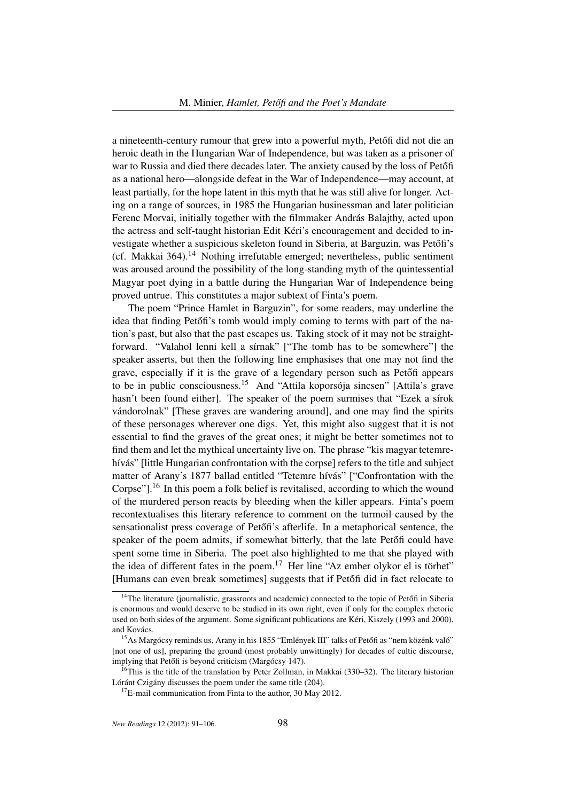a nineteenth-century rumour that grew into a powerful myth, Petőfi did not die an heroic death in the Hungarian War of Independence, but was taken as a prisoner of war to Russia and died there decades later. The anxiety caused by the loss of Petőfi as a national hero—alongside defeat in the War of Independence—may account, at least partially, for the hope latent in this myth that he was still alive for longer. Acting on a range of sources, in 1985 the Hungarian businessman and later politician Ferenc Morvai, initially together with the filmmaker András Balajthy, acted upon the actress and self-taught historian Edit Kéri's encouragement and decided to investigate whether a suspicious skeleton found in Siberia, at Barguzin, was Petőfi's (cf. Makkai  $364$ ).<sup>14</sup> Nothing irrefutable emerged; nevertheless, public sentiment was aroused around the possibility of the long-standing myth of the quintessential Magyar poet dying in a battle during the Hungarian War of Independence being proved untrue. This constitutes a major subtext of Finta's poem.

The poem "Prince Hamlet in Barguzin", for some readers, may underline the idea that finding Petőfi's tomb would imply coming to terms with part of the nation's past, but also that the past escapes us. Taking stock of it may not be straightforward. "Valahol lenni kell a sírnak" ["The tomb has to be somewhere"] the speaker asserts, but then the following line emphasises that one may not find the grave, especially if it is the grave of a legendary person such as Petőfi appears to be in public consciousness.<sup>15</sup> And "Attila koporsója sincsen" [Attila's grave hasn't been found either]. The speaker of the poem surmises that "Ezek a sírok vándorolnak" [These graves are wandering around], and one may find the spirits of these personages wherever one digs. Yet, this might also suggest that it is not essential to find the graves of the great ones; it might be better sometimes not to find them and let the mythical uncertainty live on. The phrase "kis magyar tetemrehívás" [little Hungarian confrontation with the corpse] refers to the title and subject matter of Arany's 1877 ballad entitled "Tetemre hívás" ["Confrontation with the Corpse" $l^{16}$  In this poem a folk belief is revitalised, according to which the wound of the murdered person reacts by bleeding when the killer appears. Finta's poem recontextualises this literary reference to comment on the turmoil caused by the sensationalist press coverage of Petőfi's afterlife. In a metaphorical sentence, the speaker of the poem admits, if somewhat bitterly, that the late Petőfi could have spent some time in Siberia. The poet also highlighted to me that she played with the idea of different fates in the poem.<sup>17</sup> Her line "Az ember olykor el is törhet" [Humans can even break sometimes] suggests that if Petofi did in fact relocate to

 $14$ The literature (journalistic, grassroots and academic) connected to the topic of Petőfi in Siberia is enormous and would deserve to be studied in its own right, even if only for the complex rhetoric used on both sides of the argument. Some significant publications are Kéri, Kiszely (1993 and 2000), and Kovács.

<sup>&</sup>lt;sup>15</sup>As Margócsy reminds us, Arany in his 1855 "Emlények III" talks of Petőfi as "nem közénk való" [not one of us], preparing the ground (most probably unwittingly) for decades of cultic discourse, implying that Petőfi is beyond criticism (Margócsy 147).

 $16$ This is the title of the translation by Peter Zollman, in Makkai (330–32). The literary historian Lóránt Czigány discusses the poem under the same title (204).

 $17E$ -mail communication from Finta to the author, 30 May 2012.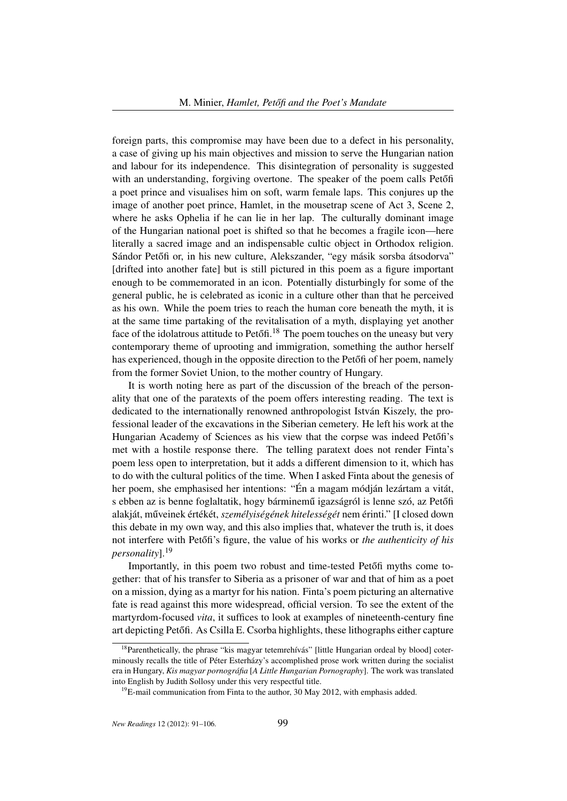foreign parts, this compromise may have been due to a defect in his personality, a case of giving up his main objectives and mission to serve the Hungarian nation and labour for its independence. This disintegration of personality is suggested with an understanding, forgiving overtone. The speaker of the poem calls Petőfi a poet prince and visualises him on soft, warm female laps. This conjures up the image of another poet prince, Hamlet, in the mousetrap scene of Act 3, Scene 2, where he asks Ophelia if he can lie in her lap. The culturally dominant image of the Hungarian national poet is shifted so that he becomes a fragile icon—here literally a sacred image and an indispensable cultic object in Orthodox religion. Sándor Petőfi or, in his new culture, Alekszander, "egy másik sorsba átsodorva" [drifted into another fate] but is still pictured in this poem as a figure important enough to be commemorated in an icon. Potentially disturbingly for some of the general public, he is celebrated as iconic in a culture other than that he perceived as his own. While the poem tries to reach the human core beneath the myth, it is at the same time partaking of the revitalisation of a myth, displaying yet another face of the idolatrous attitude to Petőfi.<sup>18</sup> The poem touches on the uneasy but very contemporary theme of uprooting and immigration, something the author herself has experienced, though in the opposite direction to the Peton of her poem, namely from the former Soviet Union, to the mother country of Hungary.

It is worth noting here as part of the discussion of the breach of the personality that one of the paratexts of the poem offers interesting reading. The text is dedicated to the internationally renowned anthropologist István Kiszely, the professional leader of the excavations in the Siberian cemetery. He left his work at the Hungarian Academy of Sciences as his view that the corpse was indeed Petőfi's met with a hostile response there. The telling paratext does not render Finta's poem less open to interpretation, but it adds a different dimension to it, which has to do with the cultural politics of the time. When I asked Finta about the genesis of her poem, she emphasised her intentions: "Én a magam módján lezártam a vitát, s ebben az is benne foglaltatik, hogy bárminemű igazságról is lenne szó, az Petőfi alakját, műveinek értékét, személyiségének hitelességét nem érinti." [I closed down this debate in my own way, and this also implies that, whatever the truth is, it does not interfere with Petőfi's figure, the value of his works or *the authenticity of his personality*].<sup>19</sup>

Importantly, in this poem two robust and time-tested Petőfi myths come together: that of his transfer to Siberia as a prisoner of war and that of him as a poet on a mission, dying as a martyr for his nation. Finta's poem picturing an alternative fate is read against this more widespread, official version. To see the extent of the martyrdom-focused *vita*, it suffices to look at examples of nineteenth-century fine art depicting Petőfi. As Csilla E. Csorba highlights, these lithographs either capture

<sup>&</sup>lt;sup>18</sup>Parenthetically, the phrase "kis magyar tetemrehívás" [little Hungarian ordeal by blood] coterminously recalls the title of Péter Esterházy's accomplished prose work written during the socialist era in Hungary, *Kis magyar pornográfia* [*A Little Hungarian Pornography*]. The work was translated into English by Judith Sollosy under this very respectful title.

 $19$ E-mail communication from Finta to the author, 30 May 2012, with emphasis added.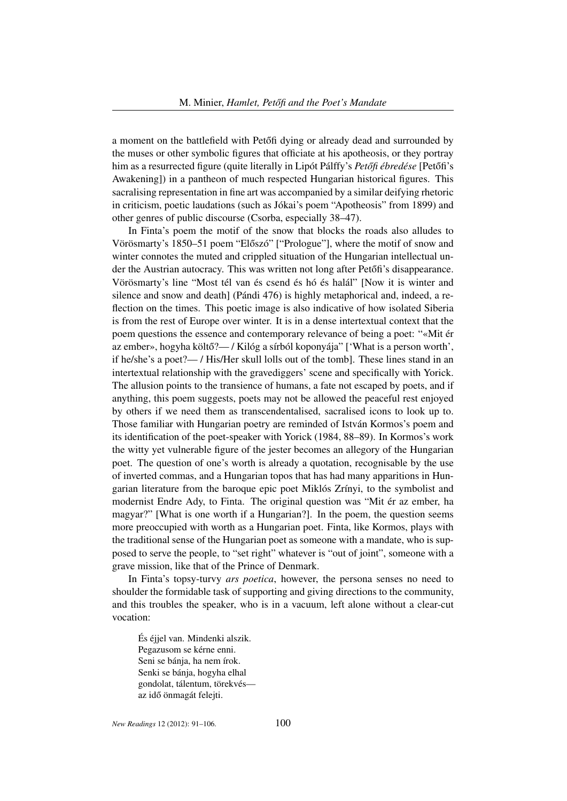a moment on the battlefield with Petőfi dying or already dead and surrounded by the muses or other symbolic figures that officiate at his apotheosis, or they portray him as a resurrected figure (quite literally in Lipót Pálffy's *Petőfi ébredése* [Petőfi's Awakening]) in a pantheon of much respected Hungarian historical figures. This sacralising representation in fine art was accompanied by a similar deifying rhetoric in criticism, poetic laudations (such as Jókai's poem "Apotheosis" from 1899) and other genres of public discourse (Csorba, especially 38–47).

In Finta's poem the motif of the snow that blocks the roads also alludes to Vörösmarty's 1850–51 poem "Előszó" ["Prologue"], where the motif of snow and winter connotes the muted and crippled situation of the Hungarian intellectual under the Austrian autocracy. This was written not long after Peton's disappearance. Vörösmarty's line "Most tél van és csend és hó és halál" [Now it is winter and silence and snow and death] (Pándi 476) is highly metaphorical and, indeed, a reflection on the times. This poetic image is also indicative of how isolated Siberia is from the rest of Europe over winter. It is in a dense intertextual context that the poem questions the essence and contemporary relevance of being a poet: "«Mit ér az ember», hogyha költő?— / Kilóg a sírból koponyája" ['What is a person worth', if he/she's a poet?— / His/Her skull lolls out of the tomb]. These lines stand in an intertextual relationship with the gravediggers' scene and specifically with Yorick. The allusion points to the transience of humans, a fate not escaped by poets, and if anything, this poem suggests, poets may not be allowed the peaceful rest enjoyed by others if we need them as transcendentalised, sacralised icons to look up to. Those familiar with Hungarian poetry are reminded of István Kormos's poem and its identification of the poet-speaker with Yorick (1984, 88–89). In Kormos's work the witty yet vulnerable figure of the jester becomes an allegory of the Hungarian poet. The question of one's worth is already a quotation, recognisable by the use of inverted commas, and a Hungarian topos that has had many apparitions in Hungarian literature from the baroque epic poet Miklós Zrínyi, to the symbolist and modernist Endre Ady, to Finta. The original question was "Mit ér az ember, ha magyar?" [What is one worth if a Hungarian?]. In the poem, the question seems more preoccupied with worth as a Hungarian poet. Finta, like Kormos, plays with the traditional sense of the Hungarian poet as someone with a mandate, who is supposed to serve the people, to "set right" whatever is "out of joint", someone with a grave mission, like that of the Prince of Denmark.

In Finta's topsy-turvy *ars poetica*, however, the persona senses no need to shoulder the formidable task of supporting and giving directions to the community, and this troubles the speaker, who is in a vacuum, left alone without a clear-cut vocation:

És éjjel van. Mindenki alszik. Pegazusom se kérne enni. Seni se bánja, ha nem írok. Senki se bánja, hogyha elhal gondolat, tálentum, törekvés az idő önmagát felejti.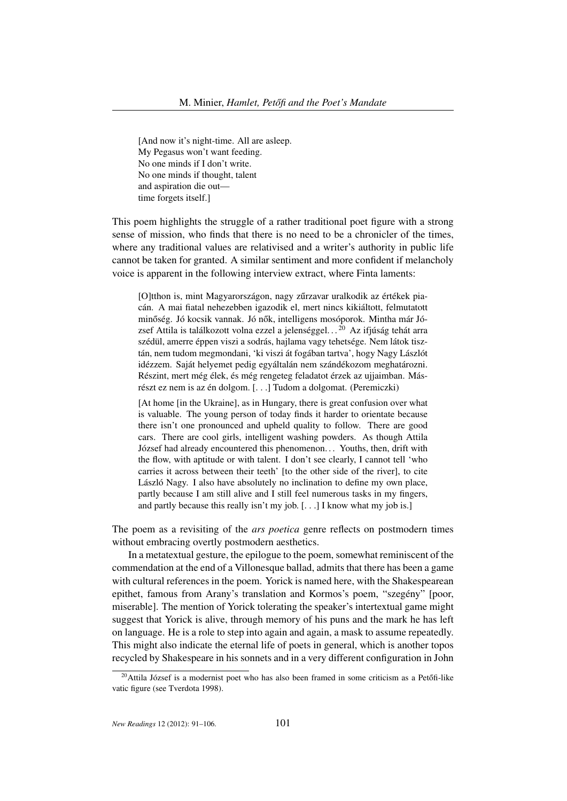[And now it's night-time. All are asleep. My Pegasus won't want feeding. No one minds if I don't write. No one minds if thought, talent and aspiration die out time forgets itself.]

This poem highlights the struggle of a rather traditional poet figure with a strong sense of mission, who finds that there is no need to be a chronicler of the times, where any traditional values are relativised and a writer's authority in public life cannot be taken for granted. A similar sentiment and more confident if melancholy voice is apparent in the following interview extract, where Finta laments:

[O]tthon is, mint Magyarországon, nagy zűrzavar uralkodik az értékek piacán. A mai fiatal nehezebben igazodik el, mert nincs kikiáltott, felmutatott minőség. Jó kocsik vannak. Jó nők, intelligens mosóporok. Mintha már József Attila is találkozott volna ezzel a jelenséggel...<sup>20</sup> Az ifjúság tehát arra szédül, amerre éppen viszi a sodrás, hajlama vagy tehetsége. Nem látok tisztán, nem tudom megmondani, 'ki viszi át fogában tartva', hogy Nagy Lászlót idézzem. Saját helyemet pedig egyáltalán nem szándékozom meghatározni. Részint, mert még élek, és még rengeteg feladatot érzek az ujjaimban. Másrészt ez nem is az én dolgom. [. . .] Tudom a dolgomat. (Peremiczki)

[At home [in the Ukraine], as in Hungary, there is great confusion over what is valuable. The young person of today finds it harder to orientate because there isn't one pronounced and upheld quality to follow. There are good cars. There are cool girls, intelligent washing powders. As though Attila József had already encountered this phenomenon. . . Youths, then, drift with the flow, with aptitude or with talent. I don't see clearly, I cannot tell 'who carries it across between their teeth' [to the other side of the river], to cite László Nagy. I also have absolutely no inclination to define my own place, partly because I am still alive and I still feel numerous tasks in my fingers, and partly because this really isn't my job. [. . .] I know what my job is.]

The poem as a revisiting of the *ars poetica* genre reflects on postmodern times without embracing overtly postmodern aesthetics.

In a metatextual gesture, the epilogue to the poem, somewhat reminiscent of the commendation at the end of a Villonesque ballad, admits that there has been a game with cultural references in the poem. Yorick is named here, with the Shakespearean epithet, famous from Arany's translation and Kormos's poem, "szegény" [poor, miserable]. The mention of Yorick tolerating the speaker's intertextual game might suggest that Yorick is alive, through memory of his puns and the mark he has left on language. He is a role to step into again and again, a mask to assume repeatedly. This might also indicate the eternal life of poets in general, which is another topos recycled by Shakespeare in his sonnets and in a very different configuration in John

 $20$ Attila József is a modernist poet who has also been framed in some criticism as a Petőfi-like vatic figure (see Tverdota 1998).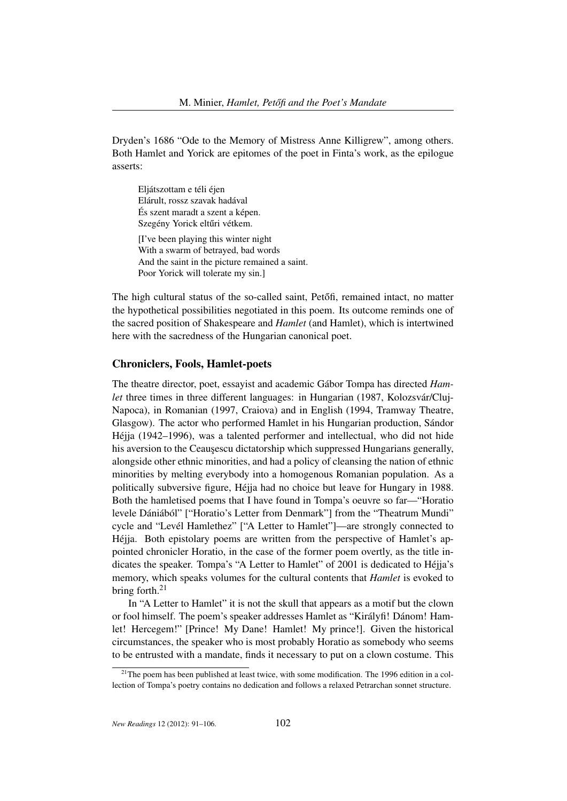Dryden's 1686 "Ode to the Memory of Mistress Anne Killigrew", among others. Both Hamlet and Yorick are epitomes of the poet in Finta's work, as the epilogue asserts:

Eljátszottam e téli éjen Elárult, rossz szavak hadával És szent maradt a szent a képen. Szegény Yorick eltűri vétkem. [I've been playing this winter night With a swarm of betrayed, bad words And the saint in the picture remained a saint. Poor Yorick will tolerate my sin.]

The high cultural status of the so-called saint, Petőfi, remained intact, no matter the hypothetical possibilities negotiated in this poem. Its outcome reminds one of the sacred position of Shakespeare and *Hamlet* (and Hamlet), which is intertwined here with the sacredness of the Hungarian canonical poet.

### Chroniclers, Fools, Hamlet-poets

The theatre director, poet, essayist and academic Gábor Tompa has directed *Hamlet* three times in three different languages: in Hungarian (1987, Kolozsvár/Cluj-Napoca), in Romanian (1997, Craiova) and in English (1994, Tramway Theatre, Glasgow). The actor who performed Hamlet in his Hungarian production, Sándor Héjja (1942–1996), was a talented performer and intellectual, who did not hide his aversion to the Ceauşescu dictatorship which suppressed Hungarians generally, alongside other ethnic minorities, and had a policy of cleansing the nation of ethnic minorities by melting everybody into a homogenous Romanian population. As a politically subversive figure, Héjja had no choice but leave for Hungary in 1988. Both the hamletised poems that I have found in Tompa's oeuvre so far—"Horatio levele Dániából" ["Horatio's Letter from Denmark"] from the "Theatrum Mundi" cycle and "Levél Hamlethez" ["A Letter to Hamlet"]—are strongly connected to Héjja. Both epistolary poems are written from the perspective of Hamlet's appointed chronicler Horatio, in the case of the former poem overtly, as the title indicates the speaker. Tompa's "A Letter to Hamlet" of 2001 is dedicated to Héjja's memory, which speaks volumes for the cultural contents that *Hamlet* is evoked to bring forth.<sup>21</sup>

In "A Letter to Hamlet" it is not the skull that appears as a motif but the clown or fool himself. The poem's speaker addresses Hamlet as "Királyfi! Dánom! Hamlet! Hercegem!" [Prince! My Dane! Hamlet! My prince!]. Given the historical circumstances, the speaker who is most probably Horatio as somebody who seems to be entrusted with a mandate, finds it necessary to put on a clown costume. This

 $21$ <sup>21</sup>The poem has been published at least twice, with some modification. The 1996 edition in a collection of Tompa's poetry contains no dedication and follows a relaxed Petrarchan sonnet structure.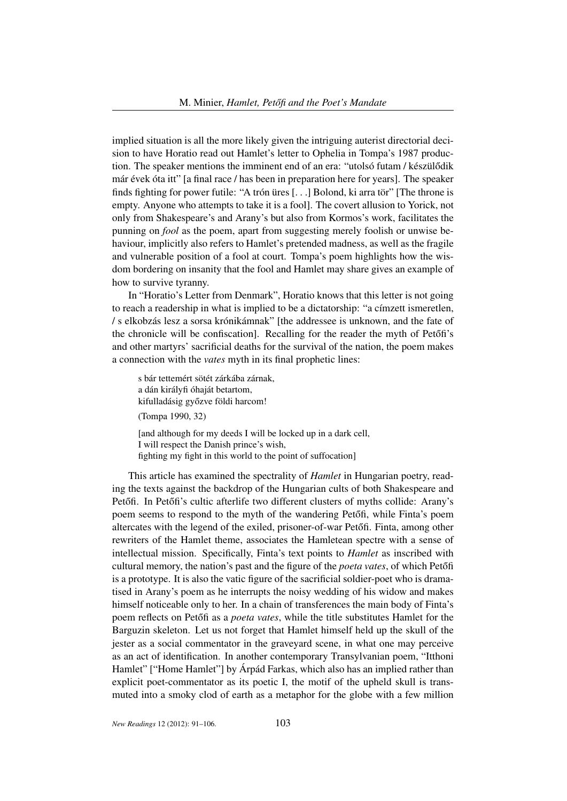implied situation is all the more likely given the intriguing auterist directorial decision to have Horatio read out Hamlet's letter to Ophelia in Tompa's 1987 production. The speaker mentions the imminent end of an era: "utolsó futam / készülődik már évek óta itt" [a final race / has been in preparation here for years]. The speaker finds fighting for power futile: "A trón üres [. . .] Bolond, ki arra tör" [The throne is empty. Anyone who attempts to take it is a fool]. The covert allusion to Yorick, not only from Shakespeare's and Arany's but also from Kormos's work, facilitates the punning on *fool* as the poem, apart from suggesting merely foolish or unwise behaviour, implicitly also refers to Hamlet's pretended madness, as well as the fragile and vulnerable position of a fool at court. Tompa's poem highlights how the wisdom bordering on insanity that the fool and Hamlet may share gives an example of how to survive tyranny.

In "Horatio's Letter from Denmark", Horatio knows that this letter is not going to reach a readership in what is implied to be a dictatorship: "a címzett ismeretlen, / s elkobzás lesz a sorsa krónikámnak" [the addressee is unknown, and the fate of the chronicle will be confiscation]. Recalling for the reader the myth of Petőfi's and other martyrs' sacrificial deaths for the survival of the nation, the poem makes a connection with the *vates* myth in its final prophetic lines:

s bár tettemért sötét zárkába zárnak, a dán királyfi óhaját betartom, kifulladásig győzve földi harcom!

(Tompa 1990, 32)

[and although for my deeds I will be locked up in a dark cell, I will respect the Danish prince's wish, fighting my fight in this world to the point of suffocation]

This article has examined the spectrality of *Hamlet* in Hungarian poetry, reading the texts against the backdrop of the Hungarian cults of both Shakespeare and Petőfi. In Petőfi's cultic afterlife two different clusters of myths collide: Arany's poem seems to respond to the myth of the wandering Petőfi, while Finta's poem altercates with the legend of the exiled, prisoner-of-war Petőfi. Finta, among other rewriters of the Hamlet theme, associates the Hamletean spectre with a sense of intellectual mission. Specifically, Finta's text points to *Hamlet* as inscribed with cultural memory, the nation's past and the figure of the *poeta vates*, of which Petőfi is a prototype. It is also the vatic figure of the sacrificial soldier-poet who is dramatised in Arany's poem as he interrupts the noisy wedding of his widow and makes himself noticeable only to her. In a chain of transferences the main body of Finta's poem reflects on Petőfi as a *poeta vates*, while the title substitutes Hamlet for the Barguzin skeleton. Let us not forget that Hamlet himself held up the skull of the jester as a social commentator in the graveyard scene, in what one may perceive as an act of identification. In another contemporary Transylvanian poem, "Itthoni Hamlet" ["Home Hamlet"] by Árpád Farkas, which also has an implied rather than explicit poet-commentator as its poetic I, the motif of the upheld skull is transmuted into a smoky clod of earth as a metaphor for the globe with a few million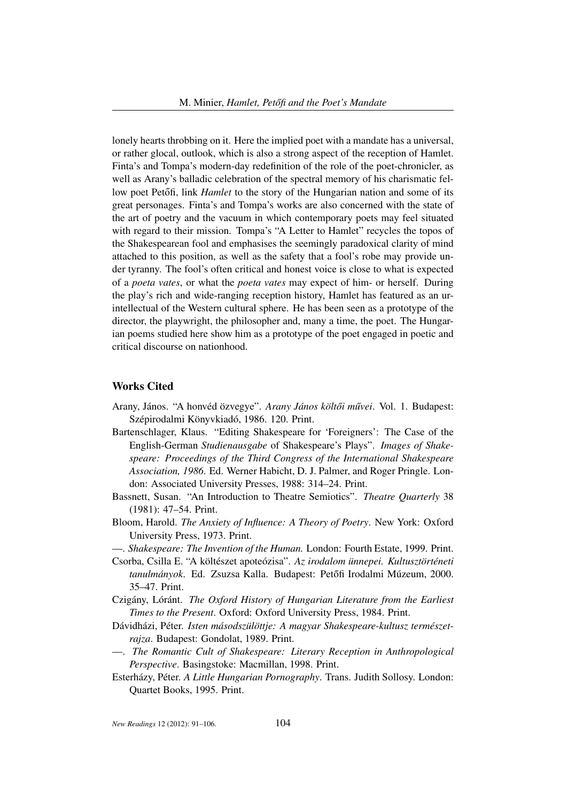lonely hearts throbbing on it. Here the implied poet with a mandate has a universal, or rather glocal, outlook, which is also a strong aspect of the reception of Hamlet. Finta's and Tompa's modern-day redefinition of the role of the poet-chronicler, as well as Arany's balladic celebration of the spectral memory of his charismatic fellow poet Petőfi, link *Hamlet* to the story of the Hungarian nation and some of its great personages. Finta's and Tompa's works are also concerned with the state of the art of poetry and the vacuum in which contemporary poets may feel situated with regard to their mission. Tompa's "A Letter to Hamlet" recycles the topos of the Shakespearean fool and emphasises the seemingly paradoxical clarity of mind attached to this position, as well as the safety that a fool's robe may provide under tyranny. The fool's often critical and honest voice is close to what is expected of a *poeta vates*, or what the *poeta vates* may expect of him- or herself. During the play's rich and wide-ranging reception history, Hamlet has featured as an urintellectual of the Western cultural sphere. He has been seen as a prototype of the director, the playwright, the philosopher and, many a time, the poet. The Hungarian poems studied here show him as a prototype of the poet engaged in poetic and critical discourse on nationhood.

#### Works Cited

- Arany, János. "A honvéd özvegye". *Arany János költői művei*. Vol. 1. Budapest: Szépirodalmi Könyvkiadó, 1986. 120. Print.
- Bartenschlager, Klaus. "Editing Shakespeare for 'Foreigners': The Case of the English-German *Studienausgabe* of Shakespeare's Plays". *Images of Shakespeare: Proceedings of the Third Congress of the International Shakespeare Association, 1986*. Ed. Werner Habicht, D. J. Palmer, and Roger Pringle. London: Associated University Presses, 1988: 314–24. Print.
- Bassnett, Susan. "An Introduction to Theatre Semiotics". *Theatre Quarterly* 38 (1981): 47–54. Print.
- Bloom, Harold. *The Anxiety of Influence: A Theory of Poetry*. New York: Oxford University Press, 1973. Print.
- —. *Shakespeare: The Invention of the Human.* London: Fourth Estate, 1999. Print.
- Csorba, Csilla E. "A költészet apoteózisa". *Az irodalom ünnepei. Kultusztörténeti tanulmányok.* Ed. Zsuzsa Kalla. Budapest: Petőfi Irodalmi Múzeum, 2000. 35–47. Print.
- Czigány, Lóránt. *The Oxford History of Hungarian Literature from the Earliest Times to the Present*. Oxford: Oxford University Press, 1984. Print.
- Dávidházi, Péter. *Isten másodszülöttje: A magyar Shakespeare-kultusz természetrajza*. Budapest: Gondolat, 1989. Print.
- —. *The Romantic Cult of Shakespeare: Literary Reception in Anthropological Perspective*. Basingstoke: Macmillan, 1998. Print.
- Esterházy, Péter. *A Little Hungarian Pornography*. Trans. Judith Sollosy. London: Quartet Books, 1995. Print.

*New Readings* 12 (2012): 91-106. 104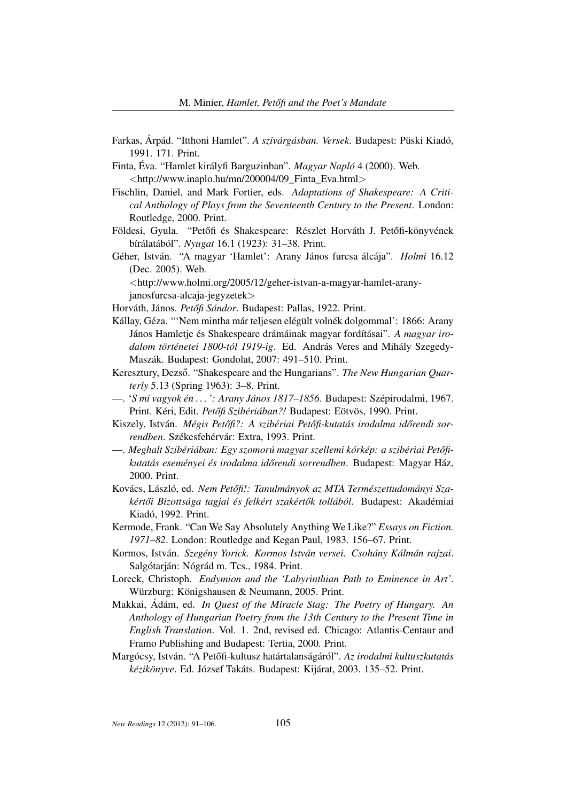- Farkas, Árpád. "Itthoni Hamlet". *A szivárgásban. Versek*. Budapest: Püski Kiadó, 1991. 171. Print.
- Finta, Éva. "Hamlet királyfi Barguzinban". *Magyar Napló* 4 (2000). Web. <http://www.inaplo.hu/mn/200004/09\_Finta\_Eva.html>
- Fischlin, Daniel, and Mark Fortier, eds. *Adaptations of Shakespeare: A Critical Anthology of Plays from the Seventeenth Century to the Present*. London: Routledge, 2000. Print.
- Földesi, Gyula. "Petőfi és Shakespeare: Részlet Horváth J. Petőfi-könyvének bírálatából". *Nyugat* 16.1 (1923): 31–38. Print.
- Géher, István. "A magyar 'Hamlet': Arany János furcsa álcája". *Holmi* 16.12 (Dec. 2005). Web.

<http://www.holmi.org/2005/12/geher-istvan-a-magyar-hamlet-aranyjanosfurcsa-alcaja-jegyzetek>

Horváth, János. Petőfi Sándor. Budapest: Pallas, 1922. Print.

- Kállay, Géza. "'Nem mintha már teljesen elégült volnék dolgommal': 1866: Arany János Hamletje és Shakespeare drámáinak magyar fordításai". *A magyar irodalom történetei 1800-tól 1919-ig*. Ed. András Veres and Mihály Szegedy-Maszák. Budapest: Gondolat, 2007: 491–510. Print.
- Keresztury, Dezső. "Shakespeare and the Hungarians". The New Hungarian Quar*terly* 5.13 (Spring 1963): 3–8. Print.
- —. '*S mi vagyok én . . . ': Arany János 1817–1856*. Budapest: Szépirodalmi, 1967. Print. Kéri, Edit. *Petőfi Szibériában?!* Budapest: Eötvös, 1990. Print.
- Kiszely, István. Mégis Petőfi?: A szibériai Petőfi-kutatás irodalma időrendi sor*rendben*. Székesfehérvár: Extra, 1993. Print.
- Meghalt Szibériában: Egy szomorú magyar szellemi kórkép: a szibériai Petőfi*kutatás eseményei és irodalma id ˝orendi sorrendben*. Budapest: Magyar Ház, 2000. Print.
- Kovács, László, ed. Nem Petőfi!: Tanulmányok az MTA Természettudományi Sza*kért ˝oi Bizottsága tagjai és felkért szakért ˝ok tollából*. Budapest: Akadémiai Kiadó, 1992. Print.
- Kermode, Frank. "Can We Say Absolutely Anything We Like?" *Essays on Fiction. 1971–82*. London: Routledge and Kegan Paul, 1983. 156–67. Print.
- Kormos, István. *Szegény Yorick. Kormos István versei. Csohány Kálmán rajzai*. Salgótarján: Nógrád m. Tcs., 1984. Print.
- Loreck, Christoph. *Endymion and the 'Labyrinthian Path to Eminence in Art'*. Würzburg: Königshausen & Neumann, 2005. Print.
- Makkai, Ádám, ed. *In Quest of the Miracle Stag: The Poetry of Hungary. An Anthology of Hungarian Poetry from the 13th Century to the Present Time in English Translation*. Vol. 1. 2nd, revised ed. Chicago: Atlantis-Centaur and Framo Publishing and Budapest: Tertia, 2000. Print.
- Margócsy, István. "A Petőfi-kultusz határtalanságáról". Az irodalmi kultuszkutatás *kézikönyve*. Ed. József Takáts. Budapest: Kijárat, 2003. 135–52. Print.

*New Readings* 12 (2012): 91–106. 105